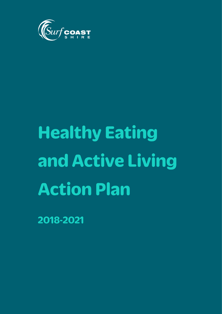

# **Healthy Eating** and Active Living **Action Plan**

2018-2021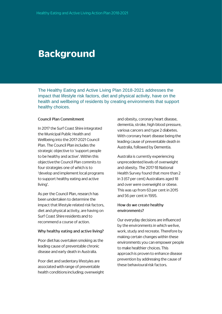### **Background**

The Healthy Eating and Active Living Plan 2018-2021 addresses the impact that lifestyle risk factors, diet and physical activity, have on the health and wellbeing of residents by creating environments that support healthy choices.

#### **Council Plan Commitment**

In 2017 the Surf Coast Shire integrated the Municipal Public Health and Wellbeing into the 2017-2021 Council Plan. The Council Plan includes the strategic objective to 'support people to be healthy and active'. Within this objective the Council Plan commits to four strategies one of which is to 'develop and implement local programs to support healthy eating and active living'.

As per the Council Plan, research has been undertaken to determine the impact that lifestyle related risk factors, diet and physical activity, are having on Surf Coast Shire residents and to recommend a course of action.

#### Why healthy eating and active living?

Poor diet has overtaken smoking as the leading cause of preventable chronic disease and early death in Australia.

Poor diet and sedentary lifestyles are associated with range of preventable health conditions including: overweight and obesity, coronary heart disease, dementia, stroke, high blood pressure, various cancers and type 2 diabetes. With coronary heart disease being the leading cause of preventable death in Australia, followed by Dementia.

Australia is currently experiencing unprecedented levels of overweight and obesity. The 2017-18 National Health Survey found that more than 2 in 3 (67 per cent) Australians aged 18 and over were overweight or obese. This was up from 63 per cent in 2015 and 56 per cent in 1995.

#### How do we create healthy environments?

Our everyday decisions are influenced by the environments in which we live, work, study and recreate. Therefore by making certain changes within these environments you can empower people to make healthier choices. This approach is proven to enhance disease prevention by addressing the cause of these behavioural risk factors.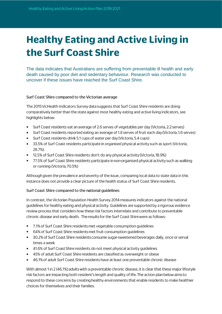## **Healthy Eating and Active Living in** the Surf Coast Shire

The data indicates that Australians are suffering from preventable ill health and early death caused by poor diet and sedentary behaviour. Research was conducted to uncover if these issues have reached the Surf Coast Shire.

#### Surf Coast Shire compared to the Victorian average

The 2015 VicHealth Indicators Survey data suggests that Surf Coast Shire residents are doing comparatively better than the state against most healthy eating and active living indicators, see highlights below:

- Surf Coast residents eat an average of 2.6 serves of vegetables per day (Victoria, 2.2 serves)
- Surf Coast residents reported eating an average of 1.8 serves of fruit each day (Victoria, 1.6 serves)
- Surf Coast residents drink 5.1 cups of water per day (Victoria, 5.4 cups)
- 33.5% of Surf Coast residents participate in organised physical activity such as sport (Victoria, 28.7%).
- 12.5% of Surf Coast Shire residents don't do any physical activity (Victoria, 18.9%)
- $\bullet$ 77.5% of Surf Coast Shire residents participate in non-organised physical activity such as walking or running (Victoria, 70.5%)

Although given the prevalence and severity of the issue, comparing local data to state data in this instance does not provide a clear picture of the health status of Surf Coast Shire residents.

#### Surf Coast Shire compared to the national guidelines

In contrast, the Victorian Population Health Survey 2014 measures indicators against the national guidelines for healthy eating and physical activity. Guidelines are supported by a rigorous evidence review process that considers how these risk factors interrelate and contribute to preventable chronic disease and early death. The results for the Surf Coast Shire were as follows:

- $\bullet$ 7.1% of Surf Coast Shire residents met vegetable consumption guidelines
- 64% of Surf Coast Shire residents met fruit consumption guidelines  $\bullet$
- 30.2% of Surf Coast Shire residents consume sugar-sweetened beverages daily, once or serval times a week
- 41.6% of Surf Coast Shire residents do not meet physical activity guidelines
- 45% of adult Surf Coast Shire residents are classified as overweight or obese
- 46.1% of adult Surf Coast Shire residents have at least one preventable chronic disease

With almost 1 in 2 (46.1%) adults with a preventable chronic disease, it is clear that these major lifestyle risk factors are impacting both resident's length and quality of life. The action plan below aims to respond to these concerns by creating healthy environments that enable residents to make healthier choices for themselves and their families.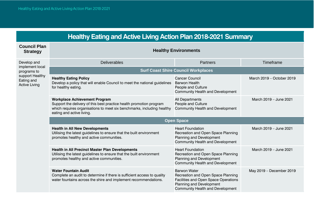| <b>Healthy Eating and Active Living Action Plan 2018-2021 Summary</b>                                  |                                                                                                                                                                                                                    |                                                                                                                                                                          |                           |  |
|--------------------------------------------------------------------------------------------------------|--------------------------------------------------------------------------------------------------------------------------------------------------------------------------------------------------------------------|--------------------------------------------------------------------------------------------------------------------------------------------------------------------------|---------------------------|--|
| <b>Council Plan</b><br><b>Strategy</b>                                                                 | <b>Healthy Environments</b>                                                                                                                                                                                        |                                                                                                                                                                          |                           |  |
| Develop and<br>implement local<br>programs to<br>support Healthy<br>Eating and<br><b>Active Living</b> | <b>Deliverables</b>                                                                                                                                                                                                | <b>Partners</b>                                                                                                                                                          | Timeframe                 |  |
|                                                                                                        | <b>Surf Coast Shire Council Workplaces</b>                                                                                                                                                                         |                                                                                                                                                                          |                           |  |
|                                                                                                        | <b>Healthy Eating Policy</b><br>Develop a policy that will enable Council to meet the national guidelines<br>for healthy eating.                                                                                   | <b>Cancer Council</b><br><b>Barwon Health</b><br>People and Culture<br><b>Community Health and Development</b>                                                           | March 2019 - October 2019 |  |
|                                                                                                        | <b>Workplace Achievement Program</b><br>Support the delivery of this best practice health promotion program<br>which requires organisations to meet six benchmarks, including healthy<br>eating and active living. | All Departments<br>People and Culture<br><b>Community Health and Development</b>                                                                                         | March 2019 - June 2021    |  |
|                                                                                                        | <b>Open Space</b>                                                                                                                                                                                                  |                                                                                                                                                                          |                           |  |
|                                                                                                        | <b>Health in All New Developments</b><br>Utilising the latest guidelines to ensure that the built environment<br>promotes healthy and active communities.                                                          | <b>Heart Foundation</b><br>Recreation and Open Space Planning<br>Planning and Development<br><b>Community Health and Development</b>                                     | March 2019 - June 2021    |  |
|                                                                                                        | <b>Health in All Precinct Master Plan Developments</b><br>Utilising the latest guidelines to ensure that the built environment<br>promotes healthy and active communities.                                         | <b>Heart Foundation</b><br>Recreation and Open Space Planning<br>Planning and Development<br><b>Community Health and Development</b>                                     | March 2019 - June 2021    |  |
|                                                                                                        | <b>Water Fountain Audit</b><br>Complete an audit to determine if there is sufficient access to quality<br>water fountains across the shire and implement recommendations.                                          | <b>Barwon Water</b><br>Recreation and Open Space Planning<br>Facilities and Open Space Operations<br>Planning and Development<br><b>Community Health and Development</b> | May 2019 - December 2019  |  |